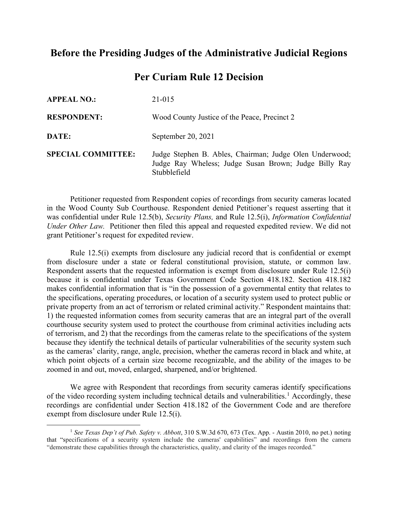## **Before the Presiding Judges of the Administrative Judicial Regions**

## **Per Curiam Rule 12 Decision**

| <b>APPEAL NO.:</b>        | 21-015                                                                                                                           |
|---------------------------|----------------------------------------------------------------------------------------------------------------------------------|
| <b>RESPONDENT:</b>        | Wood County Justice of the Peace, Precinct 2                                                                                     |
| DATE:                     | September 20, 2021                                                                                                               |
| <b>SPECIAL COMMITTEE:</b> | Judge Stephen B. Ables, Chairman; Judge Olen Underwood;<br>Judge Ray Wheless; Judge Susan Brown; Judge Billy Ray<br>Stubblefield |

Petitioner requested from Respondent copies of recordings from security cameras located in the Wood County Sub Courthouse. Respondent denied Petitioner's request asserting that it was confidential under Rule 12.5(b), *Security Plans,* and Rule 12.5(i), *Information Confidential Under Other Law.* Petitioner then filed this appeal and requested expedited review. We did not grant Petitioner's request for expedited review.

Rule 12.5(i) exempts from disclosure any judicial record that is confidential or exempt from disclosure under a state or federal constitutional provision, statute, or common law. Respondent asserts that the requested information is exempt from disclosure under Rule 12.5(i) because it is confidential under Texas Government Code Section 418.182. Section 418.182 makes confidential information that is "in the possession of a governmental entity that relates to the specifications, operating procedures, or location of a security system used to protect public or private property from an act of terrorism or related criminal activity." Respondent maintains that: 1) the requested information comes from security cameras that are an integral part of the overall courthouse security system used to protect the courthouse from criminal activities including acts of terrorism, and 2) that the recordings from the cameras relate to the specifications of the system because they identify the technical details of particular vulnerabilities of the security system such as the cameras' clarity, range, angle, precision, whether the cameras record in black and white, at which point objects of a certain size become recognizable, and the ability of the images to be zoomed in and out, moved, enlarged, sharpened, and/or brightened.

We agree with Respondent that recordings from security cameras identify specifications of the video recording system including technical details and vulnerabilities.<sup>[1](#page-0-0)</sup> Accordingly, these recordings are confidential under Section 418.182 of the Government Code and are therefore exempt from disclosure under Rule 12.5(i).

<span id="page-0-0"></span><sup>1</sup> *See Texas Dep't of Pub. Safety v. Abbott*, 310 S.W.3d 670, 673 (Tex. App. - Austin 2010, no pet.) noting that "specifications of a security system include the cameras' capabilities" and recordings from the camera "demonstrate these capabilities through the characteristics, quality, and clarity of the images recorded."